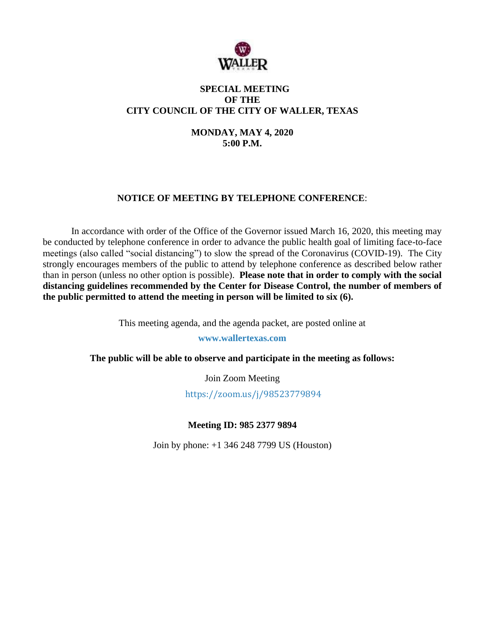

## **SPECIAL MEETING OF THE CITY COUNCIL OF THE CITY OF WALLER, TEXAS**

**MONDAY, MAY 4, 2020 5:00 P.M.**

# **NOTICE OF MEETING BY TELEPHONE CONFERENCE**:

In accordance with order of the Office of the Governor issued March 16, 2020, this meeting may be conducted by telephone conference in order to advance the public health goal of limiting face-to-face meetings (also called "social distancing") to slow the spread of the Coronavirus (COVID-19). The City strongly encourages members of the public to attend by telephone conference as described below rather than in person (unless no other option is possible). **Please note that in order to comply with the social distancing guidelines recommended by the Center for Disease Control, the number of members of the public permitted to attend the meeting in person will be limited to six (6).**

This meeting agenda, and the agenda packet, are posted online at

**www.wallertexas.com**

**The public will be able to observe and participate in the meeting as follows:**

Join Zoom Meeting

<https://zoom.us/j/98523779894>

**Meeting ID: 985 2377 9894**

Join by phone: +1 346 248 7799 US (Houston)